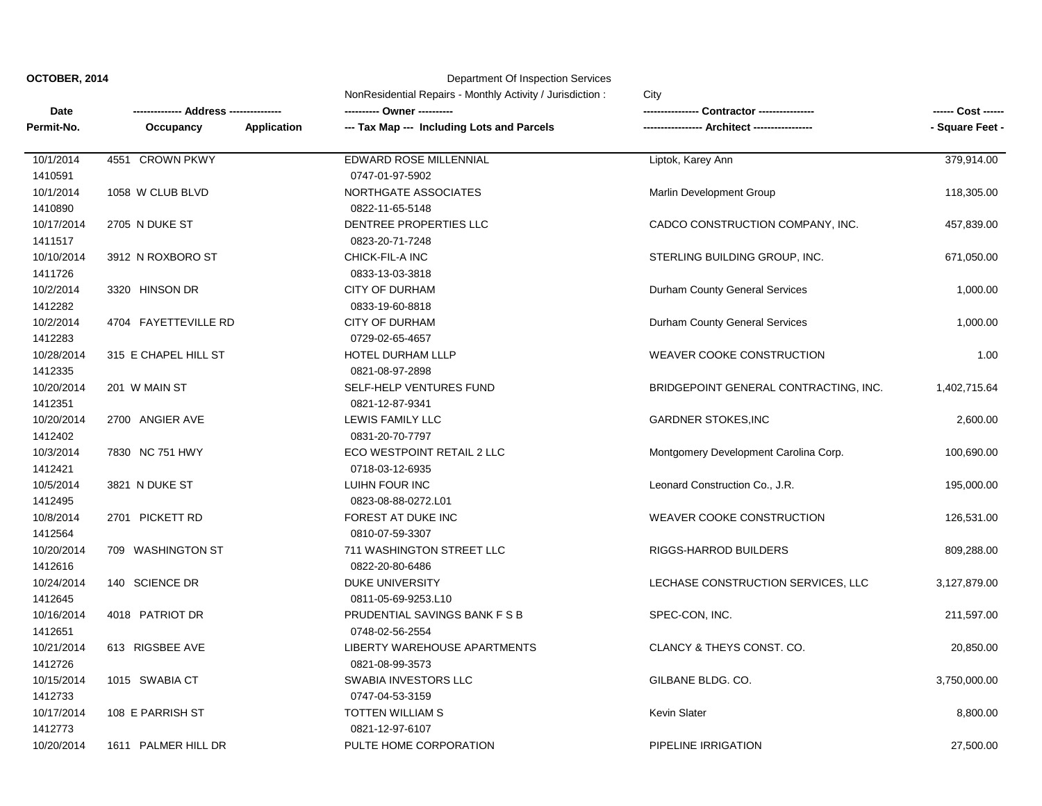|             | - Address --------------- |                    | NonResidential Repairs - Monthly Activity / Jurisdiction:<br>City |                                       |                 |
|-------------|---------------------------|--------------------|-------------------------------------------------------------------|---------------------------------------|-----------------|
| <b>Date</b> |                           |                    |                                                                   | Contractor ----------------           |                 |
| Permit-No.  | Occupancy                 | <b>Application</b> | --- Tax Map --- Including Lots and Parcels                        | --- Architect ----                    | - Square Feet - |
| 10/1/2014   | 4551 CROWN PKWY           |                    | EDWARD ROSE MILLENNIAL                                            | Liptok, Karey Ann                     | 379,914.00      |
| 1410591     |                           |                    | 0747-01-97-5902                                                   |                                       |                 |
| 10/1/2014   | 1058 W CLUB BLVD          |                    | NORTHGATE ASSOCIATES                                              | Marlin Development Group              | 118,305.00      |
| 1410890     |                           |                    | 0822-11-65-5148                                                   |                                       |                 |
| 10/17/2014  | 2705 N DUKE ST            |                    | DENTREE PROPERTIES LLC                                            | CADCO CONSTRUCTION COMPANY, INC.      | 457,839.00      |
| 1411517     |                           |                    | 0823-20-71-7248                                                   |                                       |                 |
| 10/10/2014  | 3912 N ROXBORO ST         |                    | CHICK-FIL-A INC                                                   | STERLING BUILDING GROUP, INC.         | 671,050.00      |
| 1411726     |                           |                    | 0833-13-03-3818                                                   |                                       |                 |
| 10/2/2014   | 3320 HINSON DR            |                    | <b>CITY OF DURHAM</b>                                             | Durham County General Services        | 1,000.00        |
| 1412282     |                           |                    | 0833-19-60-8818                                                   |                                       |                 |
| 10/2/2014   | 4704 FAYETTEVILLE RD      |                    | <b>CITY OF DURHAM</b>                                             | Durham County General Services        | 1,000.00        |
| 1412283     |                           |                    | 0729-02-65-4657                                                   |                                       |                 |
| 10/28/2014  | 315 E CHAPEL HILL ST      |                    | HOTEL DURHAM LLLP                                                 | WEAVER COOKE CONSTRUCTION             | 1.00            |
| 1412335     |                           |                    | 0821-08-97-2898                                                   |                                       |                 |
| 10/20/2014  | 201 W MAIN ST             |                    | SELF-HELP VENTURES FUND                                           | BRIDGEPOINT GENERAL CONTRACTING, INC. | 1,402,715.64    |
| 1412351     |                           |                    | 0821-12-87-9341                                                   |                                       |                 |
| 10/20/2014  | 2700 ANGIER AVE           |                    | LEWIS FAMILY LLC                                                  | <b>GARDNER STOKES, INC</b>            | 2,600.00        |
| 1412402     |                           |                    | 0831-20-70-7797                                                   |                                       |                 |
| 10/3/2014   | 7830 NC 751 HWY           |                    | ECO WESTPOINT RETAIL 2 LLC                                        | Montgomery Development Carolina Corp. | 100,690.00      |
| 1412421     |                           |                    | 0718-03-12-6935                                                   |                                       |                 |
| 10/5/2014   | 3821 N DUKE ST            |                    | LUIHN FOUR INC                                                    | Leonard Construction Co., J.R.        | 195,000.00      |
| 1412495     |                           |                    | 0823-08-88-0272.L01                                               |                                       |                 |
| 10/8/2014   | 2701 PICKETT RD           |                    | FOREST AT DUKE INC                                                | WEAVER COOKE CONSTRUCTION             | 126,531.00      |
| 1412564     |                           |                    | 0810-07-59-3307                                                   |                                       |                 |
| 10/20/2014  | 709 WASHINGTON ST         |                    | 711 WASHINGTON STREET LLC                                         | <b>RIGGS-HARROD BUILDERS</b>          | 809,288.00      |
| 1412616     |                           |                    | 0822-20-80-6486                                                   |                                       |                 |
| 10/24/2014  | 140 SCIENCE DR            |                    | <b>DUKE UNIVERSITY</b>                                            | LECHASE CONSTRUCTION SERVICES, LLC    | 3,127,879.00    |
| 1412645     |                           |                    | 0811-05-69-9253.L10                                               |                                       |                 |
| 10/16/2014  | 4018 PATRIOT DR           |                    | PRUDENTIAL SAVINGS BANK F S B                                     | SPEC-CON, INC.                        | 211,597.00      |
| 1412651     |                           |                    | 0748-02-56-2554                                                   |                                       |                 |
| 10/21/2014  | 613 RIGSBEE AVE           |                    | LIBERTY WAREHOUSE APARTMENTS                                      | CLANCY & THEYS CONST. CO.             | 20,850.00       |
| 1412726     |                           |                    | 0821-08-99-3573                                                   |                                       |                 |
| 10/15/2014  | 1015 SWABIA CT            |                    | SWABIA INVESTORS LLC                                              | GILBANE BLDG. CO.                     | 3,750,000.00    |
| 1412733     |                           |                    | 0747-04-53-3159                                                   |                                       |                 |
| 10/17/2014  | 108 E PARRISH ST          |                    | TOTTEN WILLIAM S                                                  | <b>Kevin Slater</b>                   | 8,800.00        |
| 1412773     |                           |                    | 0821-12-97-6107                                                   |                                       |                 |
| 10/20/2014  | 1611 PALMER HILL DR       |                    | PULTE HOME CORPORATION                                            | PIPELINE IRRIGATION                   | 27,500.00       |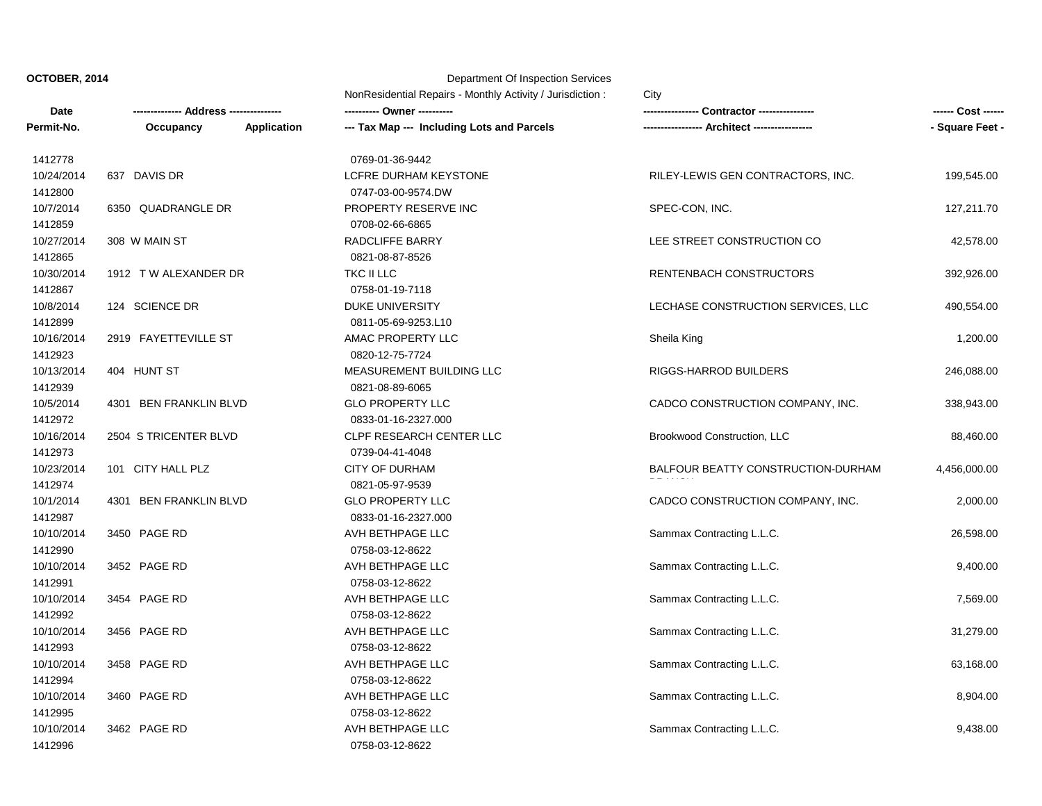**Date** NonResidential Repairs - Monthly Activity / Jurisdiction : City **-------------- Address --------------- ---------- Owner ---------- ---------------- Contractor ---------------- ------ Cost ------ Permit-No. Occupancy Application --- Tax Map --- Including Lots and Parcels ----------------- Architect ----------------- - Square Feet -** 1412778 0769-01-36-9442 10/24/2014 637 DAVIS DR LCFRE DURHAM KEYSTONE RILEY-LEWIS GEN CONTRACTORS, INC. 199,545.00 1412800 0747-03-00-9574.DW 10/7/2014 6350 QUADRANGLE DR PROPERTY RESERVE INC SPEC-CON, INC. 127,211.70 1412859 0708-02-66-6865 10/27/2014 308 W MAIN ST RADCLIFFE BARRY LEE STREET CONSTRUCTION CO 42,578.00 1412865 0821-08-87-8526 10/30/2014 1912 T W ALEXANDER DR TKC II LLC RENTENBACH CONSTRUCTORS 392,926.00 1412867 0758-01-19-7118 10/8/2014 124 SCIENCE DR DUKE UNIVERSITY LECHASE CONSTRUCTION SERVICES, LLC 490,554.00 1412899 0811-05-69-9253.L10 10/16/2014 2919 FAYETTEVILLE ST AMAC PROPERTY LLC Sheila King Sheila King 1,200.00 1412923 0820-12-75-7724 10/13/2014 404 HUNT ST MEASUREMENT BUILDING LLC RIGGS-HARROD BUILDERS 246,088.00 1412939 0821-08-89-6065 10/5/2014 4301 BEN FRANKLIN BLVD GLO PROPERTY LLC CADCO CONSTRUCTION COMPANY, INC. 338,943.00 1412972 0833-01-16-2327.000 10/16/2014 2504 S TRICENTER BLVD CLPF RESEARCH CENTER LLC Brookwood Construction, LLC 88,460.00 1412973 0739-04-41-4048 10/23/2014 101 CITY HALL PLZ CITY CONSTRUCTION-DURHAM CITY OF DURHAM BALFOUR BEATTY CONSTRUCTION-DURHAM BRANCH 4,456,000.00 1412974 0821-05-97-9539 10/1/2014 4301 BEN FRANKLIN BLVD GLO PROPERTY LLC CADCO CONSTRUCTION COMPANY, INC. 2,000.00 1412987 0833-01-16-2327.000 10/10/2014 3450 PAGE RD AVH BETHPAGE LLC Sammax Contracting L.L.C. 26,598.00 1412990 0758-03-12-8622 10/10/2014 3452 PAGE RD AVH BETHPAGE LLC Sammax Contracting L.L.C. 9,400.00 1412991 0758-03-12-8622 10/10/2014 3454 PAGE RD AVH BETHPAGE LLC Sammax Contracting L.L.C. 7,569.00 1412992 0758-03-12-8622 10/10/2014 3456 PAGE RD AVH BETHPAGE LLC Sammax Contracting L.L.C. 31,279.00 1412993 0758-03-12-8622 10/10/2014 3458 PAGE RD AVH BETHPAGE LLC Sammax Contracting L.L.C. 63,168.00 1412994 0758-03-12-8622 10/10/2014 3460 PAGE RD AVH BETHPAGE LLC SAMMAGE AND SAMMAX Contracting L.L.C. 8,904.00 1412995 0758-03-12-8622 10/10/2014 3462 PAGE RD AVH BETHPAGE LLC Sammax Contracting L.L.C. 9,438.00 1412996 0758-03-12-8622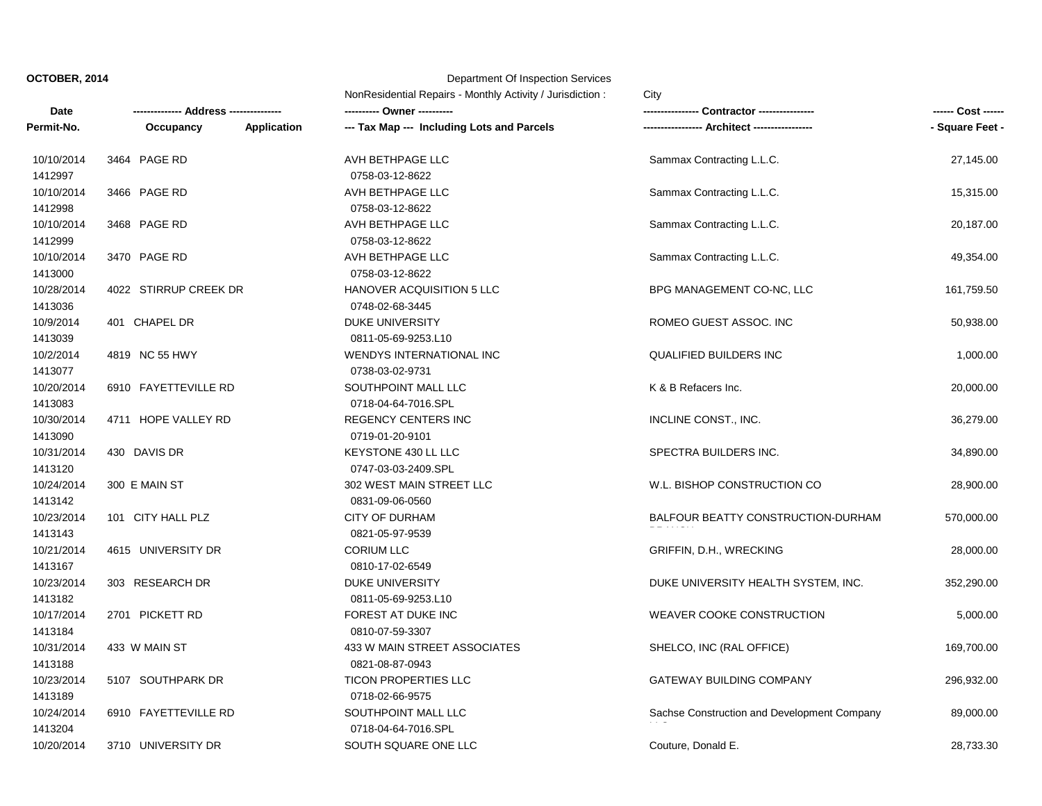**Date** NonResidential Repairs - Monthly Activity / Jurisdiction : City **-------------- Address --------------- ---------- Owner ---------- ---------------- Contractor ---------------- ------ Cost ------ Permit-No. Occupancy Application --- Tax Map --- Including Lots and Parcels ----------------- Architect ----------------- - Square Feet -** 10/10/2014 3464 PAGE RD AVH BETHPAGE LLC Sammax Contracting L.L.C. 27,145.00 1412997 0758-03-12-8622 10/10/2014 3466 PAGE RD AVH BETHPAGE LLC Sammax Contracting L.L.C. 15,315.00 1412998 0758-03-12-8622 10/10/2014 3468 PAGE RD AVH BETHPAGE LLC Sammax Contracting L.L.C. 20,187.00 1412999 0758-03-12-8622 10/10/2014 3470 PAGE RD AVH BETHPAGE LLC Sammax Contracting L.L.C. 49,354.00 1413000 0758-03-12-8622 10/28/2014 4022 STIRRUP CREEK DR HANOVER ACQUISITION 5 LLC BPG MANAGEMENT CO-NC, LLC 161,759.50 1413036 0748-02-68-3445 10/9/2014 401 CHAPEL DR DUKE UNIVERSITY ROMEO GUEST ASSOC. INC 50,938.00 1413039 0811-05-69-9253.L10 10/2/2014 4819 NC 55 HWY WENDYS INTERNATIONAL INC QUALIFIED BUILDERS INC 1,000.00 1413077 0738-03-02-9731 10/20/2014 6910 FAYETTEVILLE RD SOUTHPOINT MALL LLC K & B Refacers Inc. 20,000.00 1413083 0718-04-64-7016.SPL 10/30/2014 4711 HOPE VALLEY RD REGENCY CENTERS INC INCLINE CONST., INC. 36,279.00 1413090 0719-01-20-9101 10/31/2014 430 DAVIS DR KEYSTONE 430 LL LLC SPECTRA BUILDERS INC. 34,890.00 1413120 0747-03-03-2409.SPL 10/24/2014 300 E MAIN ST 302 WEST MAIN STREET LLC W.L. BISHOP CONSTRUCTION CO 28,900.00 1413142 0831-09-06-0560 10/23/2014 101 CITY HALL PLZ CITY OF DURHAM BALFOUR BEATTY CONSTRUCTION-DURHAM BRANCH 570,000.00 1413143 0821-05-97-9539 10/21/2014 4615 UNIVERSITY DR CORIUM LLC GRIFFIN, D.H., WRECKING 28,000.00 1413167 0810-17-02-6549 10/23/2014 303 RESEARCH DR DUKE UNIVERSITY DUKE UNIVERSITY HEALTH SYSTEM, INC. 352,290.00 1413182 0811-05-69-9253.L10 10/17/2014 2701 PICKETT RD FOREST AT DUKE INC WEAVER COOKE CONSTRUCTION 5,000.00 1413184 0810-07-59-3307 10/31/2014 433 W MAIN ST 433 W MAIN STREET ASSOCIATES SHELCO, INC (RAL OFFICE) 469,700.00 1413188 0821-08-87-0943 10/23/2014 5107 SOUTHPARK DR TICON PROPERTIES LLC GATEWAY BUILDING COMPANY 296,932.00 1413189 0718-02-66-9575 10/24/2014 6910 FAYETTEVILLE RD SOUTHPOINT MALL LLC Sachse Construction and Development Company 89,000.00 1413204 0718-04-64-7016.SPL 10/20/2014 3710 UNIVERSITY DR SOUTH SQUARE ONE LLC Couture, Donald E. 28,733.30